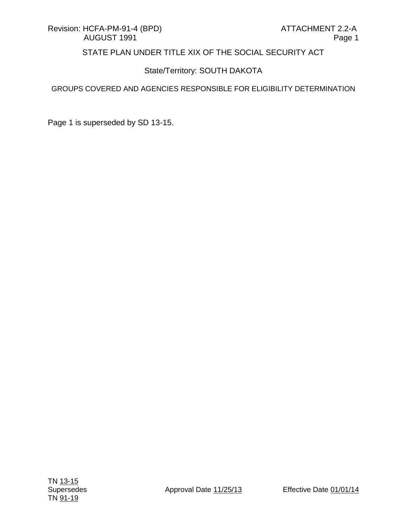## State/Territory: SOUTH DAKOTA

GROUPS COVERED AND AGENCIES RESPONSIBLE FOR ELIGIBILITY DETERMINATION

Page 1 is superseded by SD 13-15.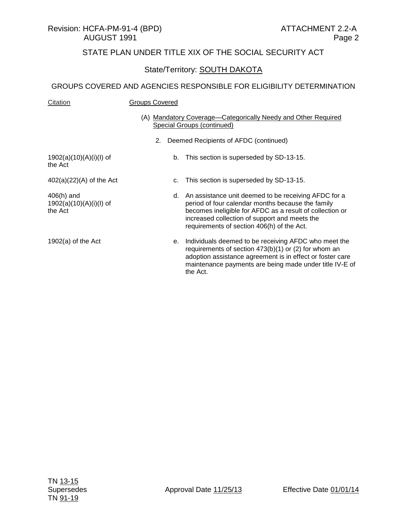### State/Territory: **SOUTH DAKOTA**

| Citation                                             | <b>Groups Covered</b>                                                                                                                                                                                                                                                   |
|------------------------------------------------------|-------------------------------------------------------------------------------------------------------------------------------------------------------------------------------------------------------------------------------------------------------------------------|
|                                                      | (A) Mandatory Coverage-Categorically Needy and Other Required<br>Special Groups (continued)                                                                                                                                                                             |
|                                                      | Deemed Recipients of AFDC (continued)<br>2.                                                                                                                                                                                                                             |
| $1902(a)(10)(A)(i)(I)$ of<br>the Act                 | This section is superseded by SD-13-15.<br>b.                                                                                                                                                                                                                           |
| $402(a)(22)(A)$ of the Act                           | This section is superseded by SD-13-15.<br>c.                                                                                                                                                                                                                           |
| $406(h)$ and<br>$1902(a)(10)(A)(i)(I)$ of<br>the Act | d. An assistance unit deemed to be receiving AFDC for a<br>period of four calendar months because the family<br>becomes ineligible for AFDC as a result of collection or<br>increased collection of support and meets the<br>requirements of section 406(h) of the Act. |
| $1902(a)$ of the Act                                 | e. Individuals deemed to be receiving AFDC who meet the<br>requirements of section $473(b)(1)$ or (2) for whom an<br>adoption assistance agreement is in effect or foster care<br>maintenance payments are being made under title IV-E of<br>the Act.                   |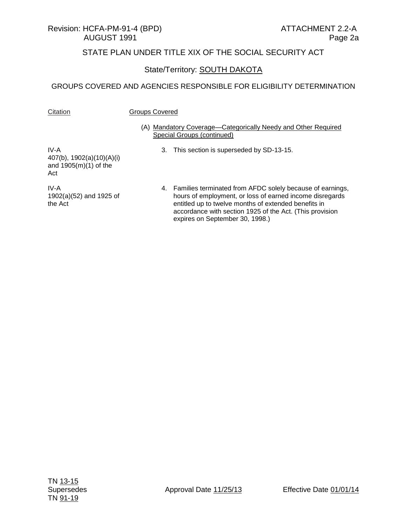#### Revision: HCFA-PM-91-4 (BPD) ATTACHMENT 2.2-A AUGUST 1991 Page 2a

## STATE PLAN UNDER TITLE XIX OF THE SOCIAL SECURITY ACT

## State/Territory: SOUTH DAKOTA

#### GROUPS COVERED AND AGENCIES RESPONSIBLE FOR ELIGIBILITY DETERMINATION

Citation **Groups Covered** 

#### (A) Mandatory Coverage—Categorically Needy and Other Required Special Groups (continued)

IV-A 407(b), 1902(a)(10)(A)(i) and 1905(m)(1) of the Act

IV-A 1902(a)(52) and 1925 of the Act

- 3. This section is superseded by SD-13-15.
- 4. Families terminated from AFDC solely because of earnings, hours of employment, or loss of earned income disregards entitled up to twelve months of extended benefits in accordance with section 1925 of the Act. (This provision expires on September 30, 1998.)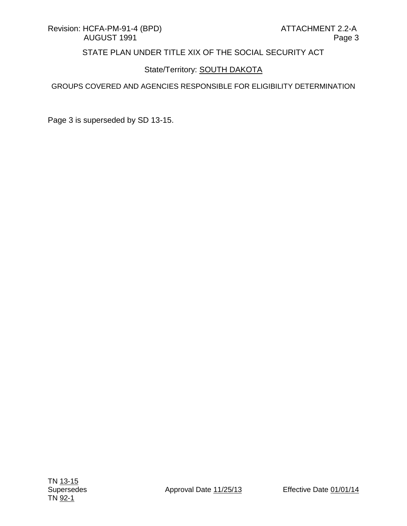## State/Territory: **SOUTH DAKOTA**

#### GROUPS COVERED AND AGENCIES RESPONSIBLE FOR ELIGIBILITY DETERMINATION

Page 3 is superseded by SD 13-15.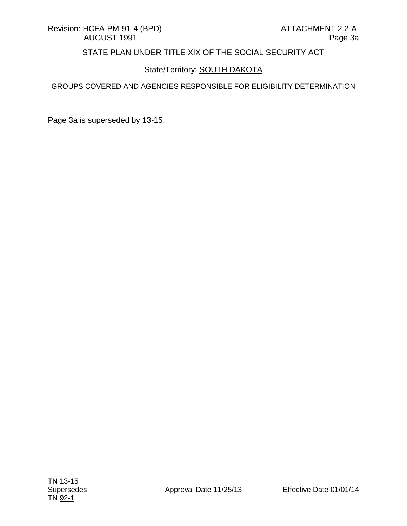## State/Territory: **SOUTH DAKOTA**

#### GROUPS COVERED AND AGENCIES RESPONSIBLE FOR ELIGIBILITY DETERMINATION

Page 3a is superseded by 13-15.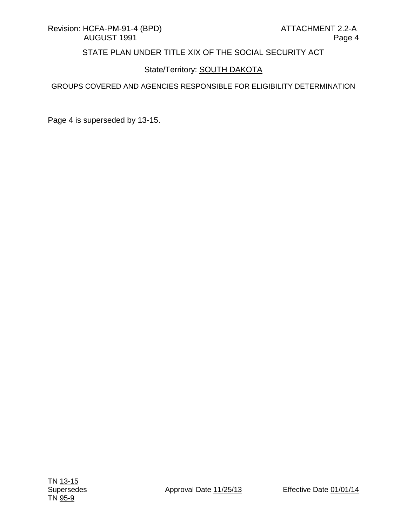## State/Territory: **SOUTH DAKOTA**

#### GROUPS COVERED AND AGENCIES RESPONSIBLE FOR ELIGIBILITY DETERMINATION

Page 4 is superseded by 13-15.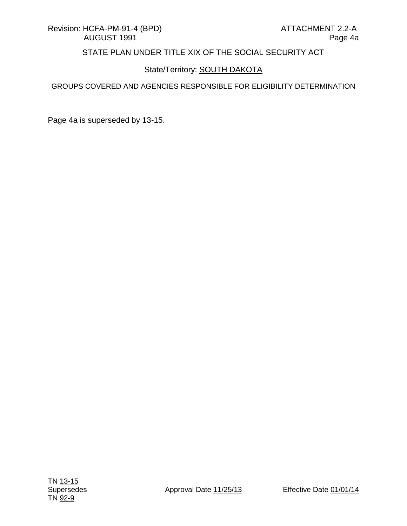## State/Territory: **SOUTH DAKOTA**

#### GROUPS COVERED AND AGENCIES RESPONSIBLE FOR ELIGIBILITY DETERMINATION

Page 4a is superseded by 13-15.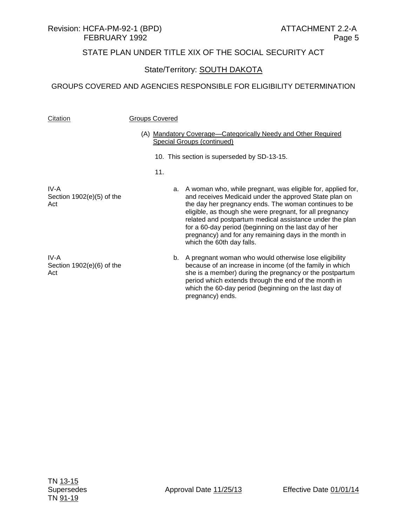# Revision: HCFA-PM-92-1 (BPD) ATTACHMENT 2.2-A

## STATE PLAN UNDER TITLE XIX OF THE SOCIAL SECURITY ACT

## State/Territory: **SOUTH DAKOTA**

| Citation                                   | <b>Groups Covered</b>                                                                              |                                                                                                                                                                                                                                                                                                                                                                                                                                                             |
|--------------------------------------------|----------------------------------------------------------------------------------------------------|-------------------------------------------------------------------------------------------------------------------------------------------------------------------------------------------------------------------------------------------------------------------------------------------------------------------------------------------------------------------------------------------------------------------------------------------------------------|
|                                            | (A) Mandatory Coverage-Categorically Needy and Other Required<br><b>Special Groups (continued)</b> |                                                                                                                                                                                                                                                                                                                                                                                                                                                             |
|                                            |                                                                                                    | 10. This section is superseded by SD-13-15.                                                                                                                                                                                                                                                                                                                                                                                                                 |
|                                            | 11.                                                                                                |                                                                                                                                                                                                                                                                                                                                                                                                                                                             |
| IV-A<br>Section $1902(e)(5)$ of the<br>Act |                                                                                                    | A woman who, while pregnant, was eligible for, applied for,<br>a.<br>and receives Medicaid under the approved State plan on<br>the day her pregnancy ends. The woman continues to be<br>eligible, as though she were pregnant, for all pregnancy<br>related and postpartum medical assistance under the plan<br>for a 60-day period (beginning on the last day of her<br>pregnancy) and for any remaining days in the month in<br>which the 60th day falls. |
| IV-A<br>Section $1902(e)(6)$ of the<br>Act |                                                                                                    | A pregnant woman who would otherwise lose eligibility<br>b.<br>because of an increase in income (of the family in which<br>she is a member) during the pregnancy or the postpartum<br>period which extends through the end of the month in<br>which the 60-day period (beginning on the last day of<br>pregnancy) ends.                                                                                                                                     |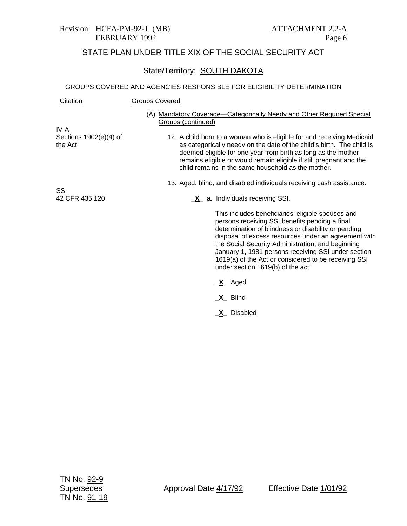#### Revision: HCFA-PM-92-1 (MB) ATTACHMENT 2.2-A FEBRUARY 1992 Page 6

## STATE PLAN UNDER TITLE XIX OF THE SOCIAL SECURITY ACT

## State/Territory: SOUTH DAKOTA

#### GROUPS COVERED AND AGENCIES RESPONSIBLE FOR ELIGIBILITY DETERMINATION

| Citation                          | <b>Groups Covered</b>                                                                                                                                                                                                                                                                                                                                                                                                       |
|-----------------------------------|-----------------------------------------------------------------------------------------------------------------------------------------------------------------------------------------------------------------------------------------------------------------------------------------------------------------------------------------------------------------------------------------------------------------------------|
| IV-A                              | (A) Mandatory Coverage—Categorically Needy and Other Required Special<br>Groups (continued)                                                                                                                                                                                                                                                                                                                                 |
| Sections 1902(e)(4) of<br>the Act | 12. A child born to a woman who is eligible for and receiving Medicaid<br>as categorically needy on the date of the child's birth. The child is<br>deemed eligible for one year from birth as long as the mother<br>remains eligible or would remain eligible if still pregnant and the<br>child remains in the same household as the mother.                                                                               |
| SSI                               | 13. Aged, blind, and disabled individuals receiving cash assistance.                                                                                                                                                                                                                                                                                                                                                        |
| 42 CFR 435.120                    | $X$ a. Individuals receiving SSI.                                                                                                                                                                                                                                                                                                                                                                                           |
|                                   | This includes beneficiaries' eligible spouses and<br>persons receiving SSI benefits pending a final<br>determination of blindness or disability or pending<br>disposal of excess resources under an agreement with<br>the Social Security Administration; and beginning<br>January 1, 1981 persons receiving SSI under section<br>1619(a) of the Act or considered to be receiving SSI<br>under section 1619(b) of the act. |
|                                   | _X_ Aged                                                                                                                                                                                                                                                                                                                                                                                                                    |
|                                   | <b>X</b> Blind                                                                                                                                                                                                                                                                                                                                                                                                              |

**\_X\_** Disabled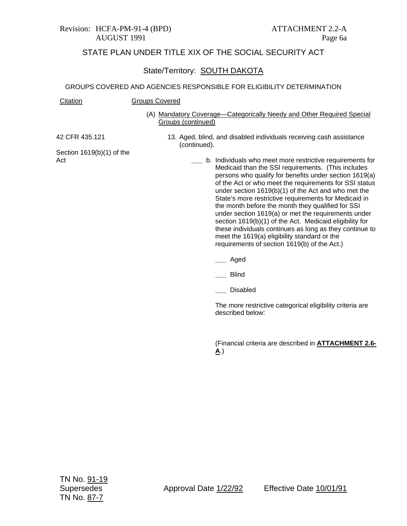#### State/Territory: SOUTH DAKOTA

#### GROUPS COVERED AND AGENCIES RESPONSIBLE FOR ELIGIBILITY DETERMINATION

#### Citation Groups Covered

(A) Mandatory Coverage—Categorically Needy and Other Required Special Groups (continued)

42 CFR 435.121

13. Aged, blind, and disabled individuals receiving cash assistance (continued).

Section 1619(b)(1) of the Act

- **\_\_\_** b. Individuals who meet more restrictive requirements for Medicaid than the SSI requirements. (This includes persons who qualify for benefits under section 1619(a) of the Act or who meet the requirements for SSI status under section 1619(b)(1) of the Act and who met the State's more restrictive requirements for Medicaid in the month before the month they qualified for SSI under section 1619(a) or met the requirements under section 1619(b)(1) of the Act. Medicaid eligibility for these individuals continues as long as they continue to meet the 1619(a) eligibility standard or the requirements of section 1619(b) of the Act.)
	- **\_\_\_** Aged
	- **\_\_\_** Blind
	- **\_\_\_** Disabled

The more restrictive categorical eligibility criteria are described below:

(Financial criteria are described in **ATTACHMENT 2.6- A**.)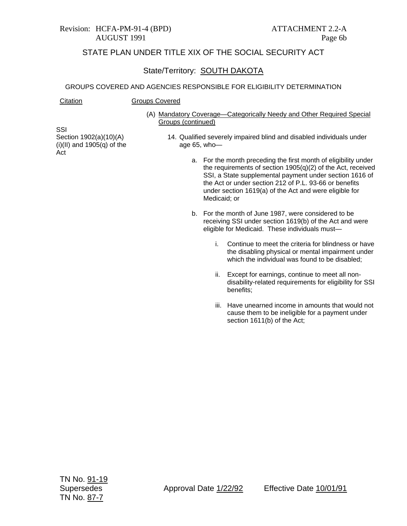### State/Territory: SOUTH DAKOTA

#### GROUPS COVERED AND AGENCIES RESPONSIBLE FOR ELIGIBILITY DETERMINATION

#### Citation Groups Covered

(A) Mandatory Coverage—Categorically Needy and Other Required Special Groups (continued)

SSI Section 1902(a)(10)(A)  $(i)(II)$  and 1905 $(q)$  of the Act

- 14. Qualified severely impaired blind and disabled individuals under age 65, who
	- a. For the month preceding the first month of eligibility under the requirements of section 1905(q)(2) of the Act, received SSI, a State supplemental payment under section 1616 of the Act or under section 212 of P.L. 93-66 or benefits under section 1619(a) of the Act and were eligible for Medicaid; or
	- b. For the month of June 1987, were considered to be receiving SSI under section 1619(b) of the Act and were eligible for Medicaid. These individuals must
		- i. Continue to meet the criteria for blindness or have the disabling physical or mental impairment under which the individual was found to be disabled;
		- ii. Except for earnings, continue to meet all nondisability-related requirements for eligibility for SSI benefits;
		- iii. Have unearned income in amounts that would not cause them to be ineligible for a payment under section 1611(b) of the Act;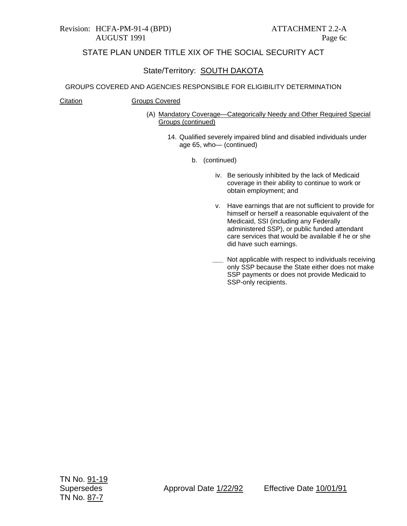## State/Territory: SOUTH DAKOTA

#### GROUPS COVERED AND AGENCIES RESPONSIBLE FOR ELIGIBILITY DETERMINATION

Citation Groups Covered

- (A) Mandatory Coverage—Categorically Needy and Other Required Special Groups (continued)
	- 14. Qualified severely impaired blind and disabled individuals under age 65, who— (continued)
		- b. (continued)
			- iv. Be seriously inhibited by the lack of Medicaid coverage in their ability to continue to work or obtain employment; and
			- v. Have earnings that are not sufficient to provide for himself or herself a reasonable equivalent of the Medicaid, SSI (including any Federally administered SSP), or public funded attendant care services that would be available if he or she did have such earnings.
			- **\_\_\_** Not applicable with respect to individuals receiving only SSP because the State either does not make SSP payments or does not provide Medicaid to SSP-only recipients.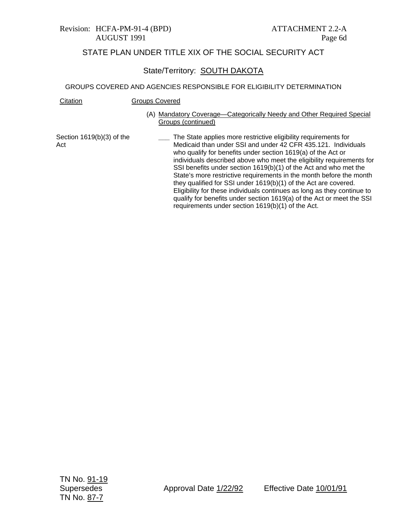#### Revision: HCFA-PM-91-4 (BPD) ATTACHMENT 2.2-A AUGUST 1991 Page 6d

## STATE PLAN UNDER TITLE XIX OF THE SOCIAL SECURITY ACT

### State/Territory: SOUTH DAKOTA

#### GROUPS COVERED AND AGENCIES RESPONSIBLE FOR ELIGIBILITY DETERMINATION

| Citation                         | Groups Covered                                                                                                                                                                                     |
|----------------------------------|----------------------------------------------------------------------------------------------------------------------------------------------------------------------------------------------------|
|                                  | (A) Mandatory Coverage—Categorically Needy and Other Required Special<br>Groups (continued)                                                                                                        |
| Section 1619(b)(3) of the<br>Act | The State applies more restrictive eligibility requirements for<br>Medicaid than under SSI and under 42 CFR 435.121. Individuals<br>who qualify for benefite under section $1610(a)$ of the Act or |

 $line$  ninements for 5.121. Individuals who qualify for benefits under section 1619(a) of the Act or individuals described above who meet the eligibility requirements for SSI benefits under section 1619(b)(1) of the Act and who met the State's more restrictive requirements in the month before the month they qualified for SSI under 1619(b)(1) of the Act are covered. Eligibility for these individuals continues as long as they continue to qualify for benefits under section 1619(a) of the Act or meet the SSI requirements under section 1619(b)(1) of the Act.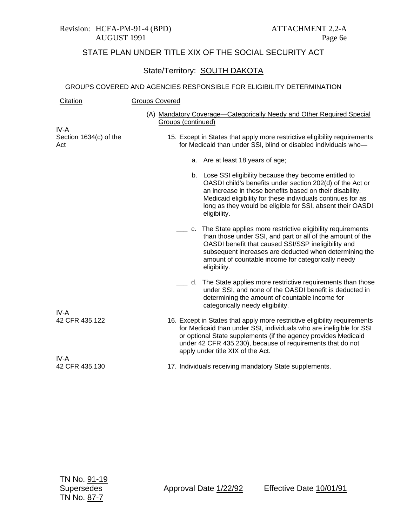## State/Territory: SOUTH DAKOTA

| Citation                      | <b>Groups Covered</b>                                                                                                                                                                                                                                                                                                 |                                                                                                                                                                                                                                                                                                                               |  |
|-------------------------------|-----------------------------------------------------------------------------------------------------------------------------------------------------------------------------------------------------------------------------------------------------------------------------------------------------------------------|-------------------------------------------------------------------------------------------------------------------------------------------------------------------------------------------------------------------------------------------------------------------------------------------------------------------------------|--|
| IV-A                          | Groups (continued)                                                                                                                                                                                                                                                                                                    | (A) Mandatory Coverage-Categorically Needy and Other Required Special                                                                                                                                                                                                                                                         |  |
| Section 1634(c) of the<br>Act | 15. Except in States that apply more restrictive eligibility requirements<br>for Medicaid than under SSI, blind or disabled individuals who-                                                                                                                                                                          |                                                                                                                                                                                                                                                                                                                               |  |
|                               |                                                                                                                                                                                                                                                                                                                       | a. Are at least 18 years of age;                                                                                                                                                                                                                                                                                              |  |
|                               |                                                                                                                                                                                                                                                                                                                       | b. Lose SSI eligibility because they become entitled to<br>OASDI child's benefits under section 202(d) of the Act or<br>an increase in these benefits based on their disability.<br>Medicaid eligibility for these individuals continues for as<br>long as they would be eligible for SSI, absent their OASDI<br>eligibility. |  |
|                               |                                                                                                                                                                                                                                                                                                                       | c. The State applies more restrictive eligibility requirements<br>than those under SSI, and part or all of the amount of the<br>OASDI benefit that caused SSI/SSP ineligibility and<br>subsequent increases are deducted when determining the<br>amount of countable income for categorically needy<br>eligibility.           |  |
|                               |                                                                                                                                                                                                                                                                                                                       | d. The State applies more restrictive requirements than those<br>under SSI, and none of the OASDI benefit is deducted in<br>determining the amount of countable income for<br>categorically needy eligibility.                                                                                                                |  |
| IV-A<br>42 CFR 435.122        |                                                                                                                                                                                                                                                                                                                       |                                                                                                                                                                                                                                                                                                                               |  |
|                               | 16. Except in States that apply more restrictive eligibility requirements<br>for Medicaid than under SSI, individuals who are ineligible for SSI<br>or optional State supplements (if the agency provides Medicaid<br>under 42 CFR 435.230), because of requirements that do not<br>apply under title XIX of the Act. |                                                                                                                                                                                                                                                                                                                               |  |
| IV-A<br>42 CFR 435.130        |                                                                                                                                                                                                                                                                                                                       |                                                                                                                                                                                                                                                                                                                               |  |
|                               |                                                                                                                                                                                                                                                                                                                       | 17. Individuals receiving mandatory State supplements.                                                                                                                                                                                                                                                                        |  |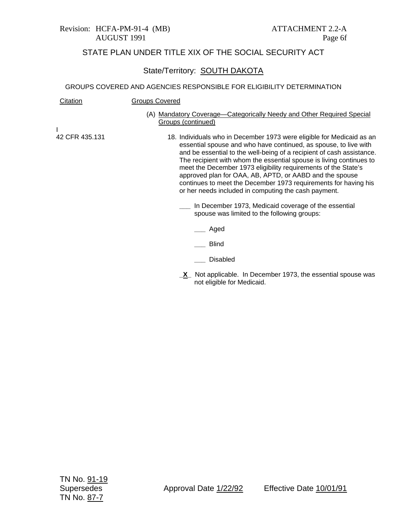#### State/Territory: SOUTH DAKOTA

#### GROUPS COVERED AND AGENCIES RESPONSIBLE FOR ELIGIBILITY DETERMINATION

| Citation       | <b>Groups Covered</b>                                                                                                                                                                                                                                                                                                                                                                                                                                                                                                                             |
|----------------|---------------------------------------------------------------------------------------------------------------------------------------------------------------------------------------------------------------------------------------------------------------------------------------------------------------------------------------------------------------------------------------------------------------------------------------------------------------------------------------------------------------------------------------------------|
|                | (A) Mandatory Coverage—Categorically Needy and Other Required Special<br>Groups (continued)                                                                                                                                                                                                                                                                                                                                                                                                                                                       |
|                |                                                                                                                                                                                                                                                                                                                                                                                                                                                                                                                                                   |
| 42 CFR 435.131 | 18. Individuals who in December 1973 were eligible for Medicaid as an<br>essential spouse and who have continued, as spouse, to live with<br>and be essential to the well-being of a recipient of cash assistance.<br>The recipient with whom the essential spouse is living continues to<br>meet the December 1973 eligibility requirements of the State's<br>approved plan for OAA, AB, APTD, or AABD and the spouse<br>continues to meet the December 1973 requirements for having his<br>or her needs included in computing the cash payment. |
|                | In December 1973, Medicaid coverage of the essential<br>spouse was limited to the following groups:                                                                                                                                                                                                                                                                                                                                                                                                                                               |
|                | Aged                                                                                                                                                                                                                                                                                                                                                                                                                                                                                                                                              |
|                | <b>Blind</b>                                                                                                                                                                                                                                                                                                                                                                                                                                                                                                                                      |
|                | Disabled                                                                                                                                                                                                                                                                                                                                                                                                                                                                                                                                          |

**\_X\_** Not applicable. In December 1973, the essential spouse was not eligible for Medicaid.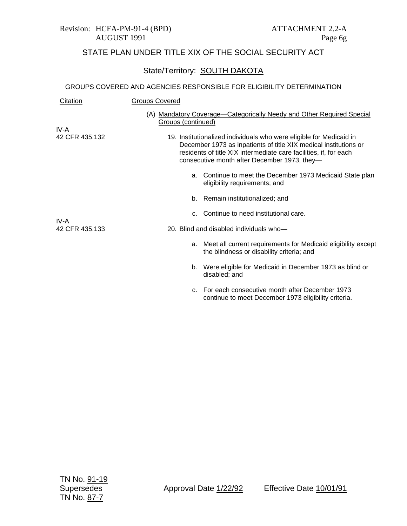## State/Territory: SOUTH DAKOTA

| Citation               | <b>Groups Covered</b>                                                                                                                                                                                                                                        |  |  |
|------------------------|--------------------------------------------------------------------------------------------------------------------------------------------------------------------------------------------------------------------------------------------------------------|--|--|
| IV-A                   | (A) Mandatory Coverage-Categorically Needy and Other Required Special<br>Groups (continued)                                                                                                                                                                  |  |  |
| 42 CFR 435.132         | 19. Institutionalized individuals who were eligible for Medicaid in<br>December 1973 as inpatients of title XIX medical institutions or<br>residents of title XIX intermediate care facilities, if, for each<br>consecutive month after December 1973, they- |  |  |
|                        | a. Continue to meet the December 1973 Medicaid State plan<br>eligibility requirements; and                                                                                                                                                                   |  |  |
|                        | b. Remain institutionalized; and                                                                                                                                                                                                                             |  |  |
|                        | c. Continue to need institutional care.                                                                                                                                                                                                                      |  |  |
| IV-A<br>42 CFR 435.133 | 20. Blind and disabled individuals who-                                                                                                                                                                                                                      |  |  |
|                        | a. Meet all current requirements for Medicaid eligibility except<br>the blindness or disability criteria; and                                                                                                                                                |  |  |
|                        | b. Were eligible for Medicaid in December 1973 as blind or<br>disabled; and                                                                                                                                                                                  |  |  |
|                        | For each consecutive month after December 1973<br>C.<br>continue to meet December 1973 eligibility criteria.                                                                                                                                                 |  |  |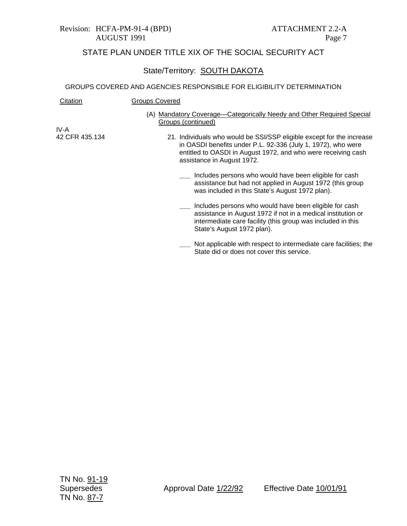## State/Territory: SOUTH DAKOTA

| Citation       | Groups Covered                                                                                                                                                                                                                       |
|----------------|--------------------------------------------------------------------------------------------------------------------------------------------------------------------------------------------------------------------------------------|
|                | (A) Mandatory Coverage—Categorically Needy and Other Required Special<br>Groups (continued)                                                                                                                                          |
| IV-A           |                                                                                                                                                                                                                                      |
| 42 CFR 435.134 | 21. Individuals who would be SSI/SSP eligible except for the increase<br>in OASDI benefits under P.L. 92-336 (July 1, 1972), who were<br>entitled to OASDI in August 1972, and who were receiving cash<br>assistance in August 1972. |
|                | Includes persons who would have been eligible for cash<br>assistance but had not applied in August 1972 (this group<br>was included in this State's August 1972 plan).                                                               |
|                | Includes persons who would have been eligible for cash<br>assistance in August 1972 if not in a medical institution or<br>intermediate care facility (this group was included in this<br>State's August 1972 plan).                  |
|                | Not applicable with respect to intermediate care facilities; the<br>State did or does not cover this service.                                                                                                                        |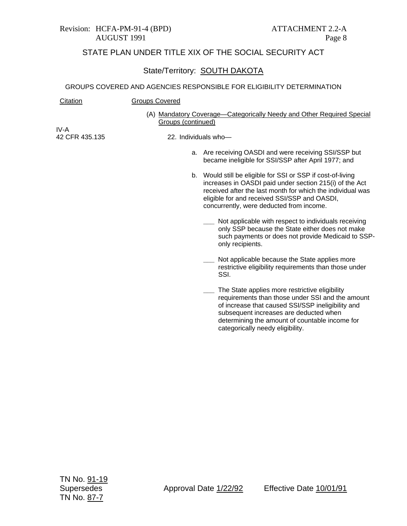#### State/Territory: **SOUTH DAKOTA**

#### GROUPS COVERED AND AGENCIES RESPONSIBLE FOR ELIGIBILITY DETERMINATION

| Citation                               | <b>Groups Covered</b> |                                                                                                                                                                                                                                                                                  |
|----------------------------------------|-----------------------|----------------------------------------------------------------------------------------------------------------------------------------------------------------------------------------------------------------------------------------------------------------------------------|
| IV-A                                   | Groups (continued)    | (A) Mandatory Coverage—Categorically Needy and Other Required Special                                                                                                                                                                                                            |
| 42 CFR 435.135<br>22. Individuals who- |                       |                                                                                                                                                                                                                                                                                  |
|                                        |                       | a. Are receiving OASDI and were receiving SSI/SSP but<br>became ineligible for SSI/SSP after April 1977; and                                                                                                                                                                     |
|                                        |                       | b. Would still be eligible for SSI or SSP if cost-of-living<br>increases in OASDI paid under section 215(i) of the Act<br>received after the last month for which the individual was<br>eligible for and received SSI/SSP and OASDI,<br>concurrently, were deducted from income. |
|                                        |                       | __ Not applicable with respect to individuals receiving<br>only SSP because the State either does not make<br>such payments or does not provide Medicaid to SSP-<br>only recipients.                                                                                             |
|                                        |                       | Not applicable because the State applies more<br>restrictive eligibility requirements than those under<br>SSI.                                                                                                                                                                   |
|                                        |                       | The State applies more restrictive eligibility<br>requirements than those under SSI and the amount                                                                                                                                                                               |

requirements than those under SSI and the amount of increase that caused SSI/SSP ineligibility and subsequent increases are deducted when determining the amount of countable income for categorically needy eligibility.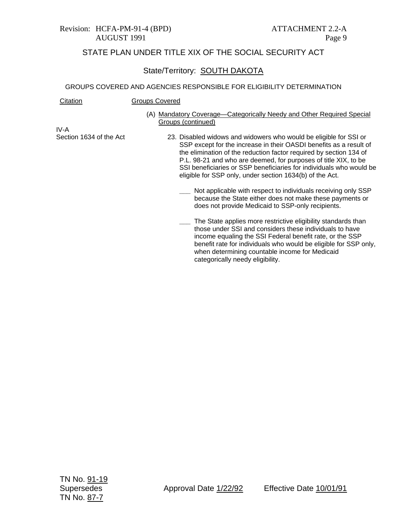### State/Territory: SOUTH DAKOTA

#### GROUPS COVERED AND AGENCIES RESPONSIBLE FOR ELIGIBILITY DETERMINATION

| Citation | <b>Groups Covered</b> |
|----------|-----------------------|
|          |                       |

(A) Mandatory Coverage—Categorically Needy and Other Required Special Groups (continued)

IV-A Section 1634 of the Act

- 23. Disabled widows and widowers who would be eligible for SSI or SSP except for the increase in their OASDI benefits as a result of the elimination of the reduction factor required by section 134 of P.L. 98-21 and who are deemed, for purposes of title XIX, to be SSI beneficiaries or SSP beneficiaries for individuals who would be eligible for SSP only, under section 1634(b) of the Act.
	- **\_\_\_** Not applicable with respect to individuals receiving only SSP because the State either does not make these payments or does not provide Medicaid to SSP-only recipients.
	- **\_\_\_** The State applies more restrictive eligibility standards than those under SSI and considers these individuals to have income equaling the SSI Federal benefit rate, or the SSP benefit rate for individuals who would be eligible for SSP only, when determining countable income for Medicaid categorically needy eligibility.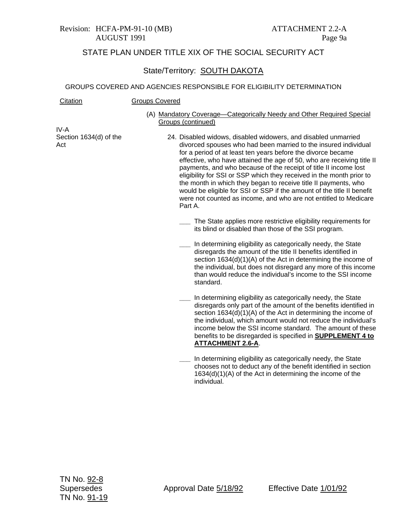#### State/Territory: SOUTH DAKOTA

#### GROUPS COVERED AND AGENCIES RESPONSIBLE FOR ELIGIBILITY DETERMINATION

| Citation | <b>Groups Covered</b> |
|----------|-----------------------|
|----------|-----------------------|

(A) Mandatory Coverage—Categorically Needy and Other Required Special Groups (continued)

IV-A Section 1634(d) of the Act

- 24. Disabled widows, disabled widowers, and disabled unmarried divorced spouses who had been married to the insured individual for a period of at least ten years before the divorce became effective, who have attained the age of 50, who are receiving title II payments, and who because of the receipt of title II income lost eligibility for SSI or SSP which they received in the month prior to the month in which they began to receive title II payments, who would be eligible for SSI or SSP if the amount of the title II benefit were not counted as income, and who are not entitled to Medicare Part A.
	- **\_\_\_** The State applies more restrictive eligibility requirements for its blind or disabled than those of the SSI program.
	- **\_\_\_** In determining eligibility as categorically needy, the State disregards the amount of the title II benefits identified in section 1634(d)(1)(A) of the Act in determining the income of the individual, but does not disregard any more of this income than would reduce the individual's income to the SSI income standard.
	- **\_\_\_** In determining eligibility as categorically needy, the State disregards only part of the amount of the benefits identified in section 1634(d)(1)(A) of the Act in determining the income of the individual, which amount would not reduce the individual's income below the SSI income standard. The amount of these benefits to be disregarded is specified in **SUPPLEMENT 4 to ATTACHMENT 2.6-A**.
		- **\_\_\_** In determining eligibility as categorically needy, the State chooses not to deduct any of the benefit identified in section 1634(d)(1)(A) of the Act in determining the income of the individual.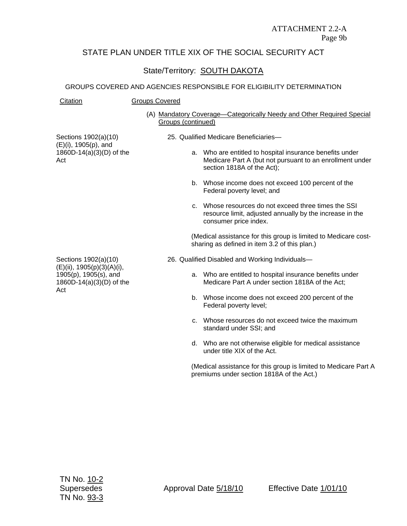State/Territory: SOUTH DAKOTA

#### GROUPS COVERED AND AGENCIES RESPONSIBLE FOR ELIGIBILITY DETERMINATION

| Citation | <b>Groups Covered</b> |
|----------|-----------------------|
|          |                       |

(A) Mandatory Coverage—Categorically Needy and Other Required Special Groups (continued)

Sections 1902(a)(10) (E)(i), 1905(p), and 1860D-14(a)(3)(D) of the Act

- 25. Qualified Medicare Beneficiaries
	- a. Who are entitled to hospital insurance benefits under Medicare Part A (but not pursuant to an enrollment under section 1818A of the Act);
	- b. Whose income does not exceed 100 percent of the Federal poverty level; and
	- c. Whose resources do not exceed three times the SSI resource limit, adjusted annually by the increase in the consumer price index.

(Medical assistance for this group is limited to Medicare costsharing as defined in item 3.2 of this plan.)

- 26. Qualified Disabled and Working Individuals
	- a. Who are entitled to hospital insurance benefits under Medicare Part A under section 1818A of the Act;
	- b. Whose income does not exceed 200 percent of the Federal poverty level;
	- c. Whose resources do not exceed twice the maximum standard under SSI; and
	- d. Who are not otherwise eligible for medical assistance under title XIX of the Act.

(Medical assistance for this group is limited to Medicare Part A premiums under section 1818A of the Act.)

Sections 1902(a)(10) (E)(ii), 1905(p)(3)(A)(i), 1905(p), 1905(s), and 1860D-14(a)(3)(D) of the Act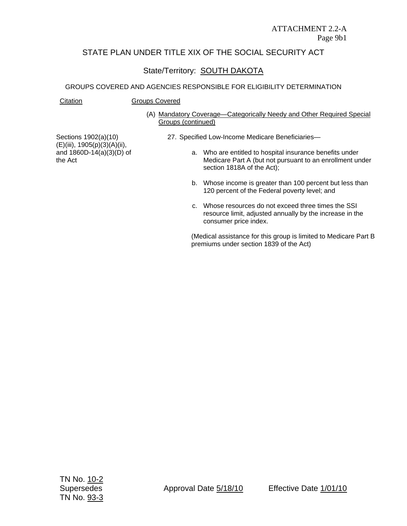## State/Territory: SOUTH DAKOTA

#### GROUPS COVERED AND AGENCIES RESPONSIBLE FOR ELIGIBILITY DETERMINATION

#### Citation Groups Covered

(A) Mandatory Coverage—Categorically Needy and Other Required Special Groups (continued)

Sections 1902(a)(10) (E)(iii), 1905(p)(3)(A)(ii), and 1860D-14(a)(3)(D) of the Act

- 27. Specified Low-Income Medicare Beneficiaries
	- a. Who are entitled to hospital insurance benefits under Medicare Part A (but not pursuant to an enrollment under section 1818A of the Act);
	- b. Whose income is greater than 100 percent but less than 120 percent of the Federal poverty level; and
	- c. Whose resources do not exceed three times the SSI resource limit, adjusted annually by the increase in the consumer price index.

(Medical assistance for this group is limited to Medicare Part B premiums under section 1839 of the Act)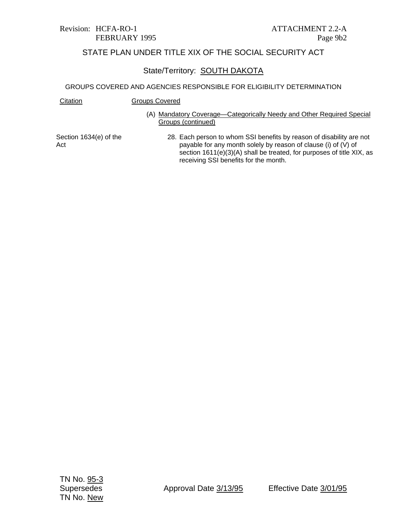### State/Territory: SOUTH DAKOTA

#### GROUPS COVERED AND AGENCIES RESPONSIBLE FOR ELIGIBILITY DETERMINATION

Citation **Groups Covered** 

(A) Mandatory Coverage—Categorically Needy and Other Required Special Groups (continued)

Section 1634(e) of the Act

28. Each person to whom SSI benefits by reason of disability are not payable for any month solely by reason of clause (i) of (V) of section 1611(e)(3)(A) shall be treated, for purposes of title XIX, as receiving SSI benefits for the month.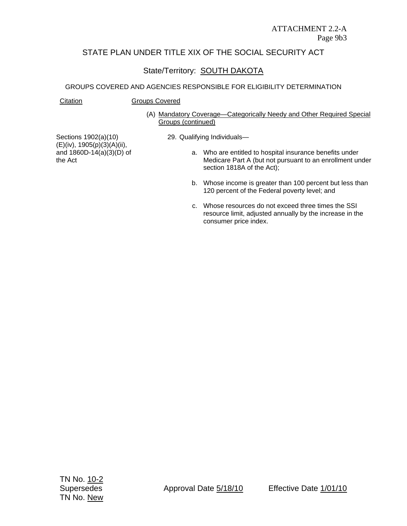## State/Territory: SOUTH DAKOTA

#### GROUPS COVERED AND AGENCIES RESPONSIBLE FOR ELIGIBILITY DETERMINATION

Citation **Groups Covered** 

(A) Mandatory Coverage—Categorically Needy and Other Required Special Groups (continued)

Sections 1902(a)(10) (E)(iv), 1905(p)(3)(A)(ii), and 1860D-14(a)(3)(D) of the Act

- 29. Qualifying Individuals
	- a. Who are entitled to hospital insurance benefits under Medicare Part A (but not pursuant to an enrollment under section 1818A of the Act);
	- b. Whose income is greater than 100 percent but less than 120 percent of the Federal poverty level; and
	- c. Whose resources do not exceed three times the SSI resource limit, adjusted annually by the increase in the consumer price index.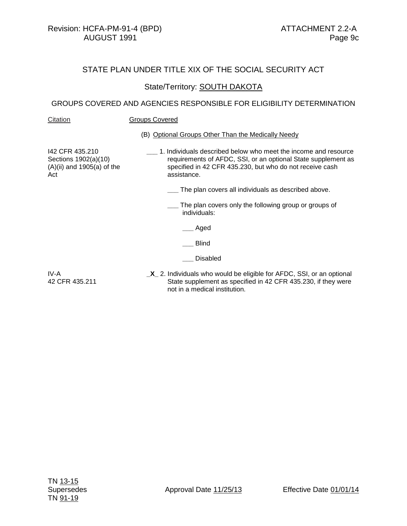#### State/Territory: **SOUTH DAKOTA**

#### GROUPS COVERED AND AGENCIES RESPONSIBLE FOR ELIGIBILITY DETERMINATION

#### Citation **Groups Covered**

(B) Optional Groups Other Than the Medically Needy

I42 CFR 435.210 Sections 1902(a)(10) (A)(ii) and 1905(a) of the Act

- **\_\_\_** 1. Individuals described below who meet the income and resource requirements of AFDC, SSI, or an optional State supplement as specified in 42 CFR 435.230, but who do not receive cash assistance.
	- **\_\_\_** The plan covers all individuals as described above.
	- **\_\_\_** The plan covers only the following group or groups of individuals:

**\_\_\_** Aged

**\_\_\_** Blind

**\_\_\_** Disabled

IV-A 42 CFR 435.211 **\_X\_** 2. Individuals who would be eligible for AFDC, SSI, or an optional State supplement as specified in 42 CFR 435.230, if they were not in a medical institution.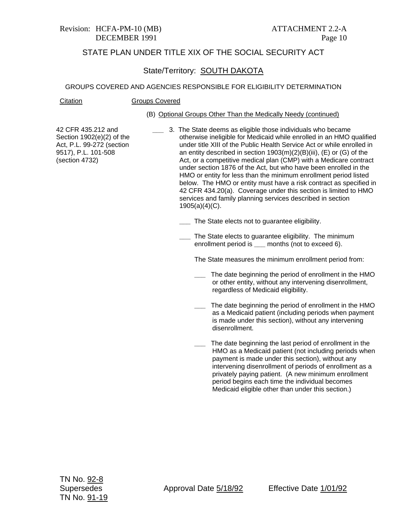## Revision: HCFA-PM-10 (MB) ATTACHMENT 2.2-A

## STATE PLAN UNDER TITLE XIX OF THE SOCIAL SECURITY ACT

### State/Territory: SOUTH DAKOTA

#### GROUPS COVERED AND AGENCIES RESPONSIBLE FOR ELIGIBILITY DETERMINATION

Citation Groups Covered

#### (B) Optional Groups Other Than the Medically Needy (continued)

42 CFR 435.212 and Section 1902(e)(2) of the Act, P.L. 99-272 (section 9517), P.L. 101-508 (section 4732)

- **\_\_\_** 3. The State deems as eligible those individuals who became otherwise ineligible for Medicaid while enrolled in an HMO qualified under title XIII of the Public Health Service Act or while enrolled in an entity described in section 1903(m)(2)(B)(iii), (E) or (G) of the Act, or a competitive medical plan (CMP) with a Medicare contract under section 1876 of the Act, but who have been enrolled in the HMO or entity for less than the minimum enrollment period listed below. The HMO or entity must have a risk contract as specified in 42 CFR 434.20(a). Coverage under this section is limited to HMO services and family planning services described in section 1905(a)(4)(C).
	- **\_\_\_** The State elects not to guarantee eligibility.
	- **\_\_\_** The State elects to guarantee eligibility. The minimum enrollment period is **\_\_\_** months (not to exceed 6).

The State measures the minimum enrollment period from:

- **\_\_\_** The date beginning the period of enrollment in the HMO or other entity, without any intervening disenrollment, regardless of Medicaid eligibility.
- **\_\_\_** The date beginning the period of enrollment in the HMO as a Medicaid patient (including periods when payment is made under this section), without any intervening disenrollment.
- **\_\_\_** The date beginning the last period of enrollment in the HMO as a Medicaid patient (not including periods when payment is made under this section), without any intervening disenrollment of periods of enrollment as a privately paying patient. (A new minimum enrollment period begins each time the individual becomes Medicaid eligible other than under this section.)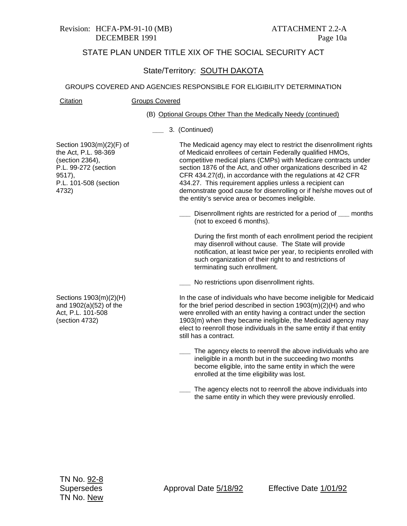#### State/Territory: SOUTH DAKOTA

#### GROUPS COVERED AND AGENCIES RESPONSIBLE FOR ELIGIBILITY DETERMINATION

#### Citation Groups Covered

#### (B) Optional Groups Other Than the Medically Needy (continued)

#### **\_\_\_** 3. (Continued)

Section 1903(m)(2)(F) of the Act, P.L. 98-369 (section 2364), P.L. 99-272 (section 9517), P.L. 101-508 (section 4732)

The Medicaid agency may elect to restrict the disenrollment rights of Medicaid enrollees of certain Federally qualified HMOs, competitive medical plans (CMPs) with Medicare contracts under section 1876 of the Act, and other organizations described in 42 CFR 434.27(d), in accordance with the regulations at 42 CFR 434.27. This requirement applies unless a recipient can demonstrate good cause for disenrolling or if he/she moves out of the entity's service area or becomes ineligible.

**\_\_\_** Disenrollment rights are restricted for a period of **\_\_\_** months (not to exceed 6 months).

During the first month of each enrollment period the recipient may disenroll without cause. The State will provide notification, at least twice per year, to recipients enrolled with such organization of their right to and restrictions of terminating such enrollment.

**\_\_\_** No restrictions upon disenrollment rights.

Sections 1903(m)(2)(H) and 1902(a)(52) of the Act, P.L. 101-508 (section 4732)

In the case of individuals who have become ineligible for Medicaid for the brief period described in section 1903(m)(2)(H) and who were enrolled with an entity having a contract under the section 1903(m) when they became ineligible, the Medicaid agency may elect to reenroll those individuals in the same entity if that entity still has a contract.

- **\_\_\_** The agency elects to reenroll the above individuals who are ineligible in a month but in the succeeding two months become eligible, into the same entity in which the were enrolled at the time eligibility was lost.
- **\_\_\_** The agency elects not to reenroll the above individuals into the same entity in which they were previously enrolled.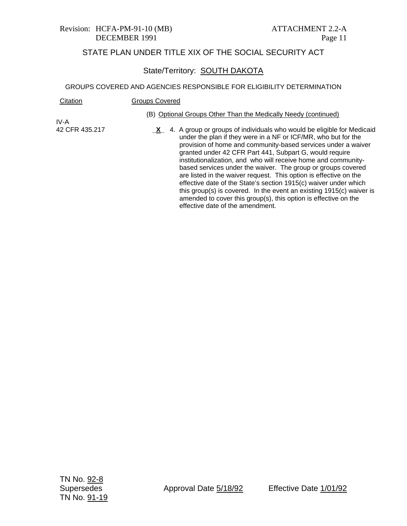#### State/Territory: SOUTH DAKOTA

| Citation       | <b>Groups Covered</b>                                                                                                                                                                                                                                                                                                                                                                                                                                                                                                                                                                                                                                                                                                                          |
|----------------|------------------------------------------------------------------------------------------------------------------------------------------------------------------------------------------------------------------------------------------------------------------------------------------------------------------------------------------------------------------------------------------------------------------------------------------------------------------------------------------------------------------------------------------------------------------------------------------------------------------------------------------------------------------------------------------------------------------------------------------------|
| IV-A           | (B) Optional Groups Other Than the Medically Needy (continued)                                                                                                                                                                                                                                                                                                                                                                                                                                                                                                                                                                                                                                                                                 |
| 42 CFR 435.217 | 4. A group or groups of individuals who would be eligible for Medicaid<br>$\mathbf{X}$<br>under the plan if they were in a NF or ICF/MR, who but for the<br>provision of home and community-based services under a waiver<br>granted under 42 CFR Part 441, Subpart G, would require<br>institutionalization, and who will receive home and community-<br>based services under the waiver. The group or groups covered<br>are listed in the waiver request. This option is effective on the<br>effective date of the State's section 1915(c) waiver under which<br>this group(s) is covered. In the event an existing 1915(c) waiver is<br>amended to cover this group(s), this option is effective on the<br>effective date of the amendment. |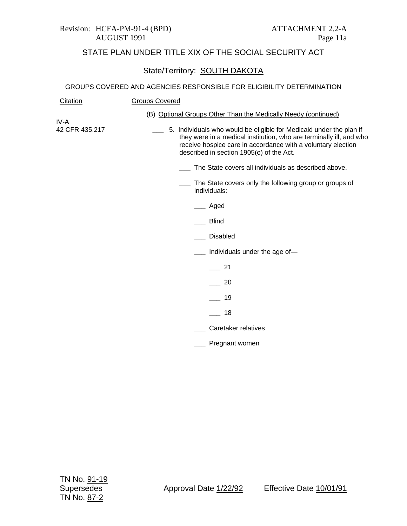#### Revision: HCFA-PM-91-4 (BPD) ATTACHMENT 2.2-A AUGUST 1991 Page 11a

## STATE PLAN UNDER TITLE XIX OF THE SOCIAL SECURITY ACT

## State/Territory: SOUTH DAKOTA

| <b>Groups Covered</b>                                                                                                                                                                                                                                  |
|--------------------------------------------------------------------------------------------------------------------------------------------------------------------------------------------------------------------------------------------------------|
| (B) Optional Groups Other Than the Medically Needy (continued)                                                                                                                                                                                         |
| 5. Individuals who would be eligible for Medicaid under the plan if<br>they were in a medical institution, who are terminally ill, and who<br>receive hospice care in accordance with a voluntary election<br>described in section 1905(o) of the Act. |
| The State covers all individuals as described above.                                                                                                                                                                                                   |
| The State covers only the following group or groups of<br>individuals:                                                                                                                                                                                 |
| Aged                                                                                                                                                                                                                                                   |
| <b>Blind</b>                                                                                                                                                                                                                                           |
| <b>Disabled</b>                                                                                                                                                                                                                                        |
| Individuals under the age of-                                                                                                                                                                                                                          |
| 21                                                                                                                                                                                                                                                     |
| 20                                                                                                                                                                                                                                                     |
| 19                                                                                                                                                                                                                                                     |
| 18                                                                                                                                                                                                                                                     |
| Caretaker relatives                                                                                                                                                                                                                                    |
| Pregnant women                                                                                                                                                                                                                                         |
|                                                                                                                                                                                                                                                        |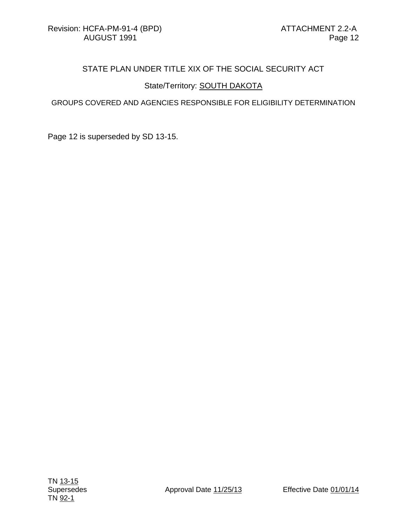## State/Territory: **SOUTH DAKOTA**

#### GROUPS COVERED AND AGENCIES RESPONSIBLE FOR ELIGIBILITY DETERMINATION

Page 12 is superseded by SD 13-15.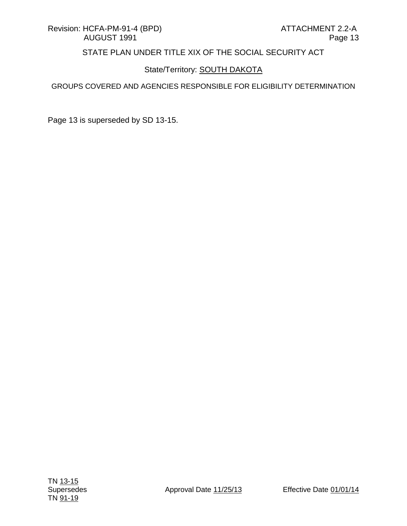## State/Territory: **SOUTH DAKOTA**

#### GROUPS COVERED AND AGENCIES RESPONSIBLE FOR ELIGIBILITY DETERMINATION

Page 13 is superseded by SD 13-15.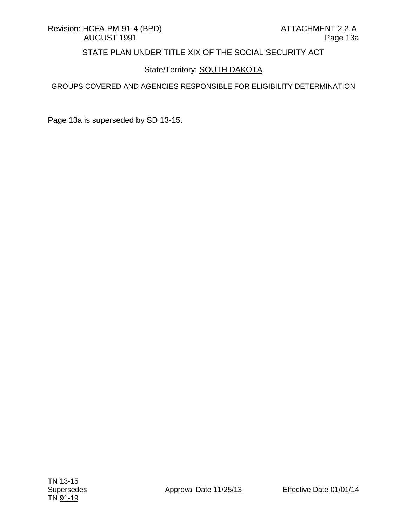## State/Territory: **SOUTH DAKOTA**

#### GROUPS COVERED AND AGENCIES RESPONSIBLE FOR ELIGIBILITY DETERMINATION

Page 13a is superseded by SD 13-15.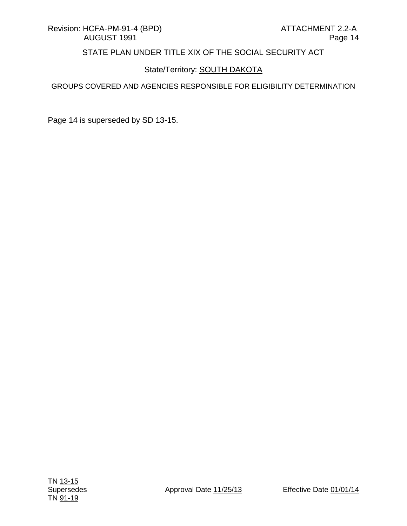## State/Territory: **SOUTH DAKOTA**

#### GROUPS COVERED AND AGENCIES RESPONSIBLE FOR ELIGIBILITY DETERMINATION

Page 14 is superseded by SD 13-15.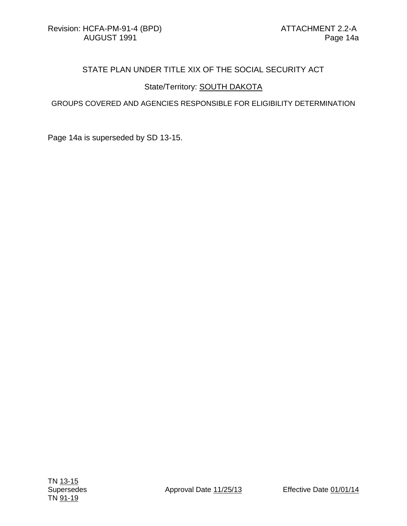### State/Territory: **SOUTH DAKOTA**

#### GROUPS COVERED AND AGENCIES RESPONSIBLE FOR ELIGIBILITY DETERMINATION

Page 14a is superseded by SD 13-15.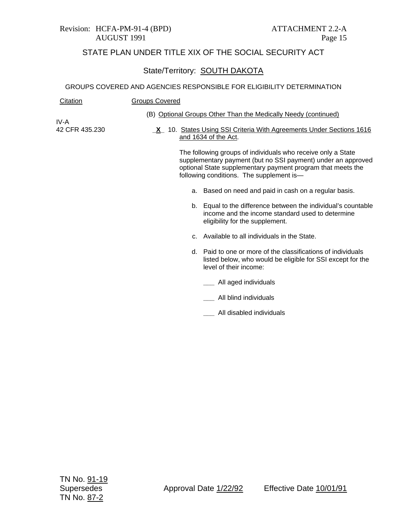#### Revision: HCFA-PM-91-4 (BPD) ATTACHMENT 2.2-A AUGUST 1991 Page 15

## STATE PLAN UNDER TITLE XIX OF THE SOCIAL SECURITY ACT

## State/Territory: SOUTH DAKOTA

#### GROUPS COVERED AND AGENCIES RESPONSIBLE FOR ELIGIBILITY DETERMINATION

| Citation       | <b>Groups Covered</b> |                                                                                                                                                                                                                                         |
|----------------|-----------------------|-----------------------------------------------------------------------------------------------------------------------------------------------------------------------------------------------------------------------------------------|
| IV-A           |                       | (B) Optional Groups Other Than the Medically Needy (continued)                                                                                                                                                                          |
| 42 CFR 435.230 |                       | <b>X</b> 10. States Using SSI Criteria With Agreements Under Sections 1616<br>and 1634 of the Act.                                                                                                                                      |
|                |                       | The following groups of individuals who receive only a State<br>supplementary payment (but no SSI payment) under an approved<br>optional State supplementary payment program that meets the<br>following conditions. The supplement is- |
|                | a.                    | Based on need and paid in cash on a regular basis.                                                                                                                                                                                      |
|                |                       | b. Equal to the difference between the individual's countable<br>income and the income standard used to determine<br>eligibility for the supplement.                                                                                    |
|                |                       | c. Available to all individuals in the State.                                                                                                                                                                                           |
|                |                       | d. Paid to one or more of the classifications of individuals<br>listed below, who would be eligible for SSI except for the<br>level of their income:                                                                                    |
|                |                       | All aged individuals                                                                                                                                                                                                                    |
|                |                       | All blind individuals                                                                                                                                                                                                                   |
|                |                       |                                                                                                                                                                                                                                         |

**\_\_\_** All disabled individuals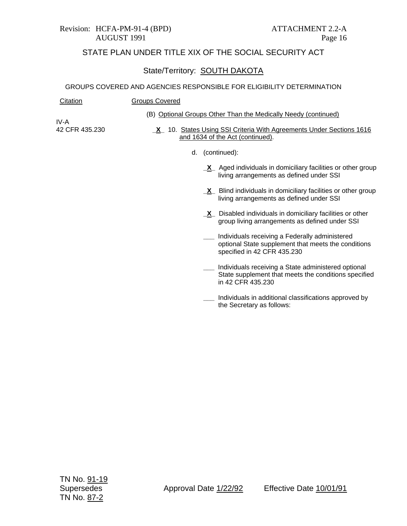#### Revision: HCFA-PM-91-4 (BPD) ATTACHMENT 2.2-A AUGUST 1991 Page 16

## STATE PLAN UNDER TITLE XIX OF THE SOCIAL SECURITY ACT

## State/Territory: SOUTH DAKOTA

#### GROUPS COVERED AND AGENCIES RESPONSIBLE FOR ELIGIBILITY DETERMINATION

| Citation               | <b>Groups Covered</b>                                                                                                                |
|------------------------|--------------------------------------------------------------------------------------------------------------------------------------|
|                        | (B) Optional Groups Other Than the Medically Needy (continued)                                                                       |
| IV-A<br>42 CFR 435.230 | X 10. States Using SSI Criteria With Agreements Under Sections 1616<br>and 1634 of the Act (continued).                              |
|                        | d. (continued):                                                                                                                      |
|                        | $X$ Aged individuals in domiciliary facilities or other group<br>living arrangements as defined under SSI                            |
|                        | $X$ Blind individuals in domiciliary facilities or other group<br>living arrangements as defined under SSI                           |
|                        | $X$ Disabled individuals in domiciliary facilities or other<br>group living arrangements as defined under SSI                        |
|                        | Individuals receiving a Federally administered<br>optional State supplement that meets the conditions<br>specified in 42 CFR 435.230 |
|                        | Individuals receiving a State administered optional<br>State supplement that meets the conditions specified<br>in 42 CFR 435.230     |
|                        | Individuals in additional classifications approved by                                                                                |

the Secretary as follows: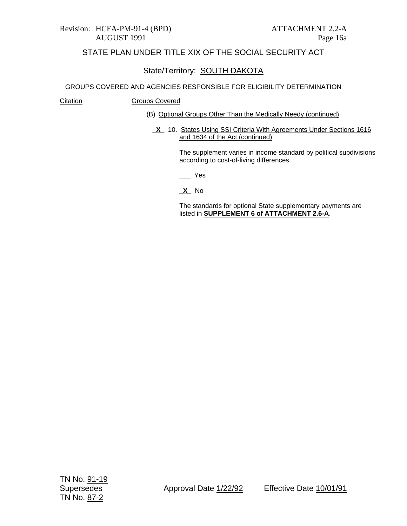### State/Territory: SOUTH DAKOTA

#### GROUPS COVERED AND AGENCIES RESPONSIBLE FOR ELIGIBILITY DETERMINATION

#### Citation **Groups Covered**

- (B) Optional Groups Other Than the Medically Needy (continued)
	- **X** 10. States Using SSI Criteria With Agreements Under Sections 1616 and 1634 of the Act (continued).

The supplement varies in income standard by political subdivisions according to cost-of-living differences.

**\_\_\_** Yes

**\_X\_** No

The standards for optional State supplementary payments are listed in **SUPPLEMENT 6 of ATTACHMENT 2.6-A**.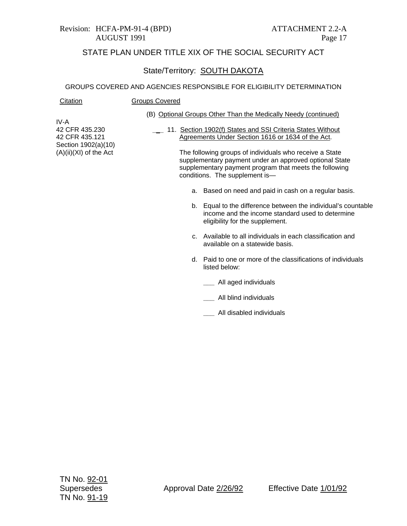#### Revision: HCFA-PM-91-4 (BPD) ATTACHMENT 2.2-A AUGUST 1991 Page 17

## STATE PLAN UNDER TITLE XIX OF THE SOCIAL SECURITY ACT

## State/Territory: SOUTH DAKOTA

#### GROUPS COVERED AND AGENCIES RESPONSIBLE FOR ELIGIBILITY DETERMINATION

| <b>Citation</b>                                 | <b>Groups Covered</b>                                                                                                                                                                                         |
|-------------------------------------------------|---------------------------------------------------------------------------------------------------------------------------------------------------------------------------------------------------------------|
|                                                 | (B) Optional Groups Other Than the Medically Needy (continued)                                                                                                                                                |
| IV-A<br>42 CFR 435.230<br>42 CFR 435.121        | 11. Section 1902(f) States and SSI Criteria States Without<br>Agreements Under Section 1616 or 1634 of the Act.                                                                                               |
| Section 1902(a)(10)<br>$(A)(ii)(XI)$ of the Act | The following groups of individuals who receive a State<br>supplementary payment under an approved optional State<br>supplementary payment program that meets the following<br>conditions. The supplement is- |
|                                                 | Based on need and paid in cash on a regular basis.<br>а.                                                                                                                                                      |
|                                                 | b. Equal to the difference between the individual's countable<br>income and the income standard used to determine<br>eligibility for the supplement.                                                          |
|                                                 | Available to all individuals in each classification and<br>$\mathbf{c}$<br>available on a statewide basis.                                                                                                    |
|                                                 | Paid to one or more of the classifications of individuals<br>d.<br>listed below:                                                                                                                              |
|                                                 | All aged individuals                                                                                                                                                                                          |
|                                                 | All blind individuals                                                                                                                                                                                         |
|                                                 |                                                                                                                                                                                                               |

**\_\_\_** All disabled individuals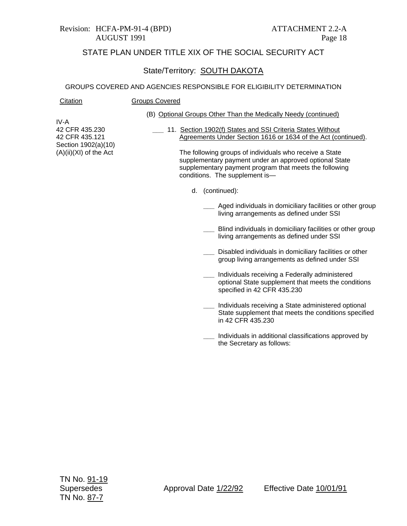#### Revision: HCFA-PM-91-4 (BPD) ATTACHMENT 2.2-A AUGUST 1991 Page 18

Citation Groups Covered

## STATE PLAN UNDER TITLE XIX OF THE SOCIAL SECURITY ACT

### State/Territory: SOUTH DAKOTA

#### GROUPS COVERED AND AGENCIES RESPONSIBLE FOR ELIGIBILITY DETERMINATION

|                                                                                             | (B) Optional Groups Other Than the                                                                                                                                           |
|---------------------------------------------------------------------------------------------|------------------------------------------------------------------------------------------------------------------------------------------------------------------------------|
| IV-A<br>42 CFR 435.230<br>42 CFR 435.121<br>Section 1902(a)(10)<br>$(A)(ii)(XI)$ of the Act | 11. Section 1902(f) States are<br><b>Agreements Under Section</b><br>The following groups of in<br>supplementary payment<br>supplementary payment<br>conditions. The supplem |
|                                                                                             | d. (continued):                                                                                                                                                              |
|                                                                                             | Aged indivic<br>living arrang                                                                                                                                                |
|                                                                                             | <b>Blind individ</b><br>living arrang                                                                                                                                        |
|                                                                                             | Disabled ind<br>group living                                                                                                                                                 |
|                                                                                             | Individuale 1                                                                                                                                                                |

- Medically Needy (continued)
	- nd SSI Criteria States Without on 1616 or 1634 of the Act (continued).

ndividuals who receive a State under an approved optional State program that meets the following nent is—

- duals in domiciliary facilities or other group gements as defined under SSI
- luals in domiciliary facilities or other group gements as defined under SSI
- dividuals in domiciliary facilities or other arrangements as defined under SSI
- **\_\_\_** Individuals receiving a Federally administered optional State supplement that meets the conditions specified in 42 CFR 435.230
- **\_\_\_** Individuals receiving a State administered optional State supplement that meets the conditions specified in 42 CFR 435.230
- **\_\_\_** Individuals in additional classifications approved by the Secretary as follows: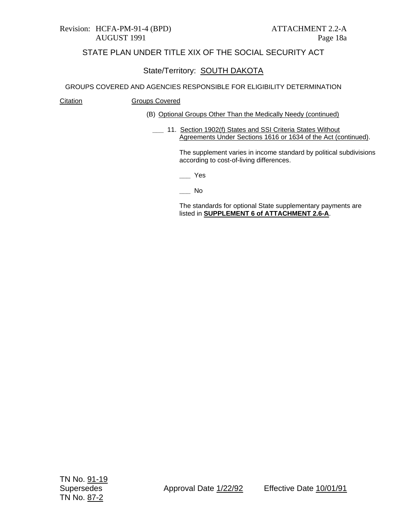#### Revision: HCFA-PM-91-4 (BPD) ATTACHMENT 2.2-A AUGUST 1991 Page 18a

## STATE PLAN UNDER TITLE XIX OF THE SOCIAL SECURITY ACT

## State/Territory: SOUTH DAKOTA

#### GROUPS COVERED AND AGENCIES RESPONSIBLE FOR ELIGIBILITY DETERMINATION

#### Citation **Groups Covered**

- (B) Optional Groups Other Than the Medically Needy (continued)
	- **\_\_\_** 11. Section 1902(f) States and SSI Criteria States Without Agreements Under Sections 1616 or 1634 of the Act (continued).

The supplement varies in income standard by political subdivisions according to cost-of-living differences.

**\_\_\_** Yes

**\_\_\_** No

The standards for optional State supplementary payments are listed in **SUPPLEMENT 6 of ATTACHMENT 2.6-A**.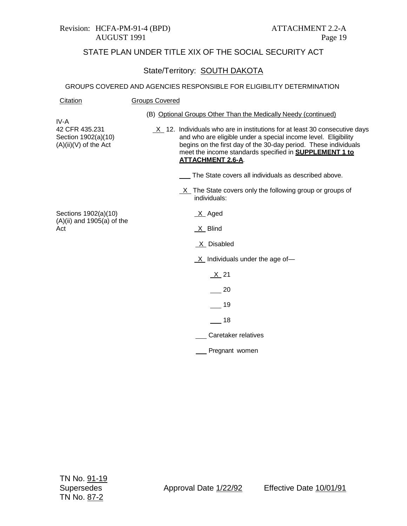#### Revision: HCFA-PM-91-4 (BPD) ATTACHMENT 2.2-A AUGUST 1991 Page 19

## STATE PLAN UNDER TITLE XIX OF THE SOCIAL SECURITY ACT

## State/Territory: **SOUTH DAKOTA**

| Citation                                                                 | <b>Groups Covered</b>                                                                                                                                                                                                                                                                                                                                |
|--------------------------------------------------------------------------|------------------------------------------------------------------------------------------------------------------------------------------------------------------------------------------------------------------------------------------------------------------------------------------------------------------------------------------------------|
| IV-A<br>42 CFR 435.231<br>Section 1902(a)(10)<br>$(A)(ii)(V)$ of the Act | (B) Optional Groups Other Than the Medically Needy (continued)<br>$X$ 12. Individuals who are in institutions for at least 30 consecutive days<br>and who are eligible under a special income level. Eligibility<br>begins on the first day of the 30-day period. These individuals<br>meet the income standards specified in <b>SUPPLEMENT 1 to</b> |
|                                                                          | <b>ATTACHMENT 2.6-A.</b><br>The State covers all individuals as described above.<br>X The State covers only the following group or groups of                                                                                                                                                                                                         |
| Sections 1902(a)(10)<br>$(A)(ii)$ and 1905 $(a)$ of the<br>Act           | individuals:<br>$X$ Aged<br>$X$ Blind                                                                                                                                                                                                                                                                                                                |
|                                                                          | X Disabled                                                                                                                                                                                                                                                                                                                                           |
|                                                                          | $X$ Individuals under the age of-                                                                                                                                                                                                                                                                                                                    |
|                                                                          | $X_{21}$                                                                                                                                                                                                                                                                                                                                             |
|                                                                          | 20                                                                                                                                                                                                                                                                                                                                                   |
|                                                                          | 19                                                                                                                                                                                                                                                                                                                                                   |
|                                                                          | 18                                                                                                                                                                                                                                                                                                                                                   |
|                                                                          | Caretaker relatives                                                                                                                                                                                                                                                                                                                                  |
|                                                                          | Pregnant women                                                                                                                                                                                                                                                                                                                                       |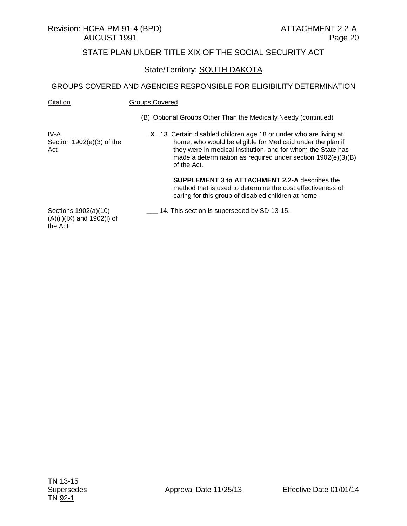#### State/Territory: SOUTH DAKOTA

#### GROUPS COVERED AND AGENCIES RESPONSIBLE FOR ELIGIBILITY DETERMINATION

| Citation | Groups Covered                                                 |
|----------|----------------------------------------------------------------|
|          | (B) Optional Groups Other Than the Medically Needy (continued) |

IV-A Section 1902(e)(3) of the Act

**\_X\_** 13. Certain disabled children age 18 or under who are living at home, who would be eligible for Medicaid under the plan if they were in medical institution, and for whom the State has made a determination as required under section 1902(e)(3)(B) of the Act.

> **SUPPLEMENT 3 to ATTACHMENT 2.2-A** describes the method that is used to determine the cost effectiveness of caring for this group of disabled children at home.

Sections 1902(a)(10) (A)(ii)(IX) and 1902(l) of the Act

**\_\_\_** 14. This section is superseded by SD 13-15.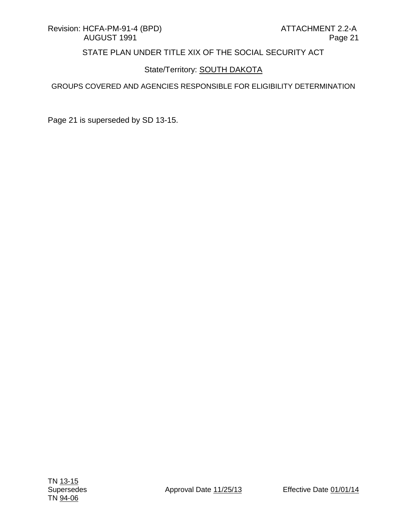## State/Territory: **SOUTH DAKOTA**

#### GROUPS COVERED AND AGENCIES RESPONSIBLE FOR ELIGIBILITY DETERMINATION

Page 21 is superseded by SD 13-15.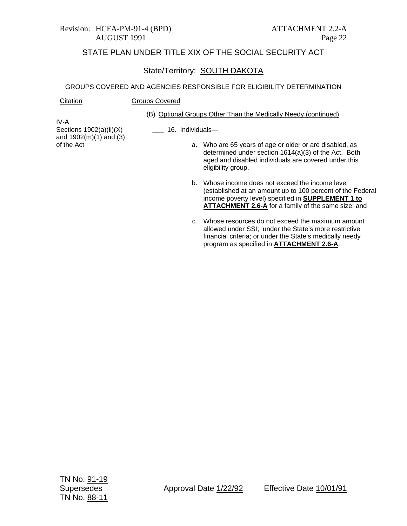#### Revision: HCFA-PM-91-4 (BPD) ATTACHMENT 2.2-A AUGUST 1991 Page 22

Citation **Groups Covered** 

## STATE PLAN UNDER TITLE XIX OF THE SOCIAL SECURITY ACT

## State/Territory: **SOUTH DAKOTA**

|                                                               | (B) Optional Groups Other Than the Medically Needy (continued)                                                                                                                                                                               |
|---------------------------------------------------------------|----------------------------------------------------------------------------------------------------------------------------------------------------------------------------------------------------------------------------------------------|
| IV-A<br>Sections $1902(a)(ii)(X)$<br>and $1902(m)(1)$ and (3) | 16. Individuals-                                                                                                                                                                                                                             |
| of the Act                                                    | a. Who are 65 years of age or older or are disabled, as<br>determined under section 1614(a)(3) of the Act. Both<br>aged and disabled individuals are covered under this<br>eligibility group.                                                |
|                                                               | Whose income does not exceed the income level<br>b.<br>(established at an amount up to 100 percent of the Federal<br>income poverty level) specified in <b>SUPPLEMENT 1 to</b><br><b>ATTACHMENT 2.6-A</b> for a family of the same size; and |
|                                                               | Whose resources do not exceed the maximum amount<br>C.<br>allowed under SSI; under the State's more restrictive<br>financial criteria; or under the State's medically needy<br>program as specified in ATTACHMENT 2.6-A.                     |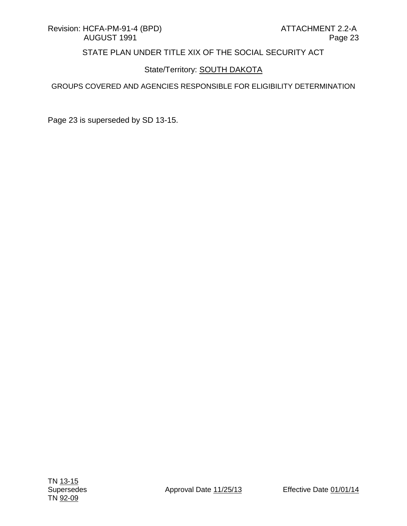## State/Territory: **SOUTH DAKOTA**

#### GROUPS COVERED AND AGENCIES RESPONSIBLE FOR ELIGIBILITY DETERMINATION

Page 23 is superseded by SD 13-15.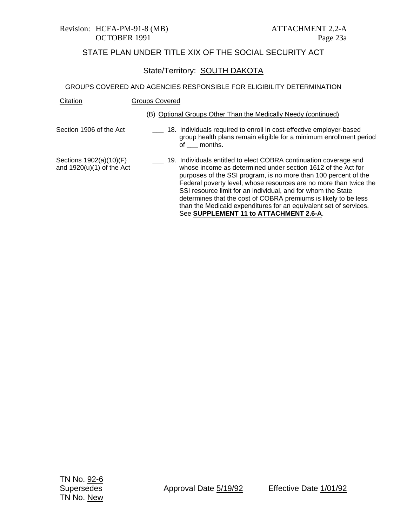# Revision: HCFA-PM-91-8 (MB) ATTACHMENT 2.2-A

## STATE PLAN UNDER TITLE XIX OF THE SOCIAL SECURITY ACT

## State/Territory: SOUTH DAKOTA

| Citation                                               | <b>Groups Covered</b>                                                                                                                                                                                                                                                                                                                                                                                                                                                                                                       |
|--------------------------------------------------------|-----------------------------------------------------------------------------------------------------------------------------------------------------------------------------------------------------------------------------------------------------------------------------------------------------------------------------------------------------------------------------------------------------------------------------------------------------------------------------------------------------------------------------|
|                                                        | (B) Optional Groups Other Than the Medically Needy (continued)                                                                                                                                                                                                                                                                                                                                                                                                                                                              |
| Section 1906 of the Act                                | 18. Individuals required to enroll in cost-effective employer-based<br>group health plans remain eligible for a minimum enrollment period<br>of months.                                                                                                                                                                                                                                                                                                                                                                     |
| Sections 1902(a)(10)(F)<br>and $1920(u)(1)$ of the Act | 19. Individuals entitled to elect COBRA continuation coverage and<br>whose income as determined under section 1612 of the Act for<br>purposes of the SSI program, is no more than 100 percent of the<br>Federal poverty level, whose resources are no more than twice the<br>SSI resource limit for an individual, and for whom the State<br>determines that the cost of COBRA premiums is likely to be less<br>than the Medicaid expenditures for an equivalent set of services.<br>See SUPPLEMENT 11 to ATTACHMENT 2.6-A. |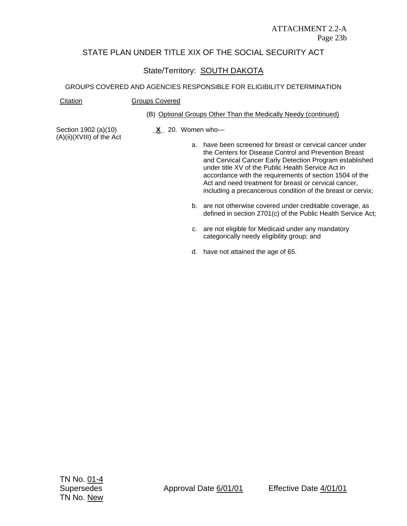#### ATTACHMENT 2.2-A Page 23b

### STATE PLAN UNDER TITLE XIX OF THE SOCIAL SECURITY ACT

## State/Territory: SOUTH DAKOTA

#### GROUPS COVERED AND AGENCIES RESPONSIBLE FOR ELIGIBILITY DETERMINATION

#### Citation Groups Covered

#### (B) Optional Groups Other Than the Medically Needy (continued)

Section 1902 (a)(10) (A)(ii)(XVIII) of the Act **\_X\_** 20. Women who—

- a. have been screened for breast or cervical cancer under the Centers for Disease Control and Prevention Breast and Cervical Cancer Early Detection Program established under title XV of the Public Health Service Act in accordance with the requirements of section 1504 of the Act and need treatment for breast or cervical cancer, including a precancerous condition of the breast or cervix;
- b. are not otherwise covered under creditable coverage, as defined in section 2701(c) of the Public Health Service Act;
- c. are not eligible for Medicaid under any mandatory categorically needy eligibility group; and
- d. have not attained the age of 65.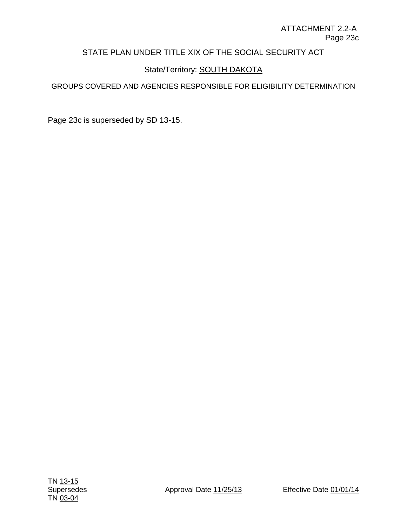## State/Territory: **SOUTH DAKOTA**

### GROUPS COVERED AND AGENCIES RESPONSIBLE FOR ELIGIBILITY DETERMINATION

Page 23c is superseded by SD 13-15.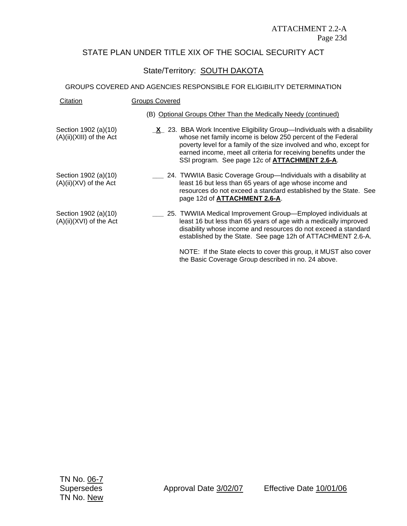## State/Territory: SOUTH DAKOTA

#### GROUPS COVERED AND AGENCIES RESPONSIBLE FOR ELIGIBILITY DETERMINATION

| Citation                                         | <b>Groups Covered</b>                                                                                                                                                                                                                                                                                                                          |  |
|--------------------------------------------------|------------------------------------------------------------------------------------------------------------------------------------------------------------------------------------------------------------------------------------------------------------------------------------------------------------------------------------------------|--|
|                                                  | (B) Optional Groups Other Than the Medically Needy (continued)                                                                                                                                                                                                                                                                                 |  |
| Section 1902 (a)(10)<br>(A)(ii)(XIII) of the Act | $X$ 23. BBA Work Incentive Eligibility Group—Individuals with a disability<br>whose net family income is below 250 percent of the Federal<br>poverty level for a family of the size involved and who, except for<br>earned income, meet all criteria for receiving benefits under the<br>SSI program. See page 12c of <b>ATTACHMENT 2.6-A.</b> |  |
| Section 1902 (a)(10)<br>(A)(ii)(XV) of the Act   | 24. TWWIIA Basic Coverage Group-Individuals with a disability at<br>least 16 but less than 65 years of age whose income and<br>resources do not exceed a standard established by the State. See<br>page 12d of ATTACHMENT 2.6-A.                                                                                                               |  |
| Section 1902 (a)(10)<br>(A)(ii)(XVI) of the Act  | 25. TWWIIA Medical Improvement Group—Employed individuals at<br>least 16 but less than 65 years of age with a medically improved<br>disability whose income and resources do not exceed a standard<br>established by the State. See page 12h of ATTACHMENT 2.6-A.                                                                              |  |
|                                                  | NOTE: If the State elects to cover this group, it MUST also cover                                                                                                                                                                                                                                                                              |  |

the Basic Coverage Group described in no. 24 above.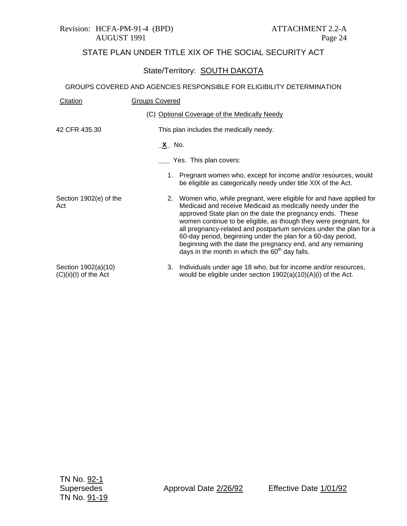## State/Territory: SOUTH DAKOTA

| Citation                                     | <b>Groups Covered</b>                                                                                                                                                                                                                                                                                                                                                                                                                                                                                                            |
|----------------------------------------------|----------------------------------------------------------------------------------------------------------------------------------------------------------------------------------------------------------------------------------------------------------------------------------------------------------------------------------------------------------------------------------------------------------------------------------------------------------------------------------------------------------------------------------|
|                                              | (C) Optional Coverage of the Medically Needy                                                                                                                                                                                                                                                                                                                                                                                                                                                                                     |
| 42 CFR 435.30                                | This plan includes the medically needy.                                                                                                                                                                                                                                                                                                                                                                                                                                                                                          |
|                                              | <u>_X</u> _ No.                                                                                                                                                                                                                                                                                                                                                                                                                                                                                                                  |
|                                              | Yes. This plan covers:                                                                                                                                                                                                                                                                                                                                                                                                                                                                                                           |
|                                              | 1. Pregnant women who, except for income and/or resources, would<br>be eligible as categorically needy under title XIX of the Act.                                                                                                                                                                                                                                                                                                                                                                                               |
| Section 1902(e) of the<br>Act                | Women who, while pregnant, were eligible for and have applied for<br>2.<br>Medicaid and receive Medicaid as medically needy under the<br>approved State plan on the date the pregnancy ends. These<br>women continue to be eligible, as though they were pregnant, for<br>all pregnancy-related and postpartum services under the plan for a<br>60-day period, beginning under the plan for a 60-day period,<br>beginning with the date the pregnancy end, and any remaining<br>days in the month in which the $60th$ day falls. |
| Section 1902(a)(10)<br>(C)(ii)(I) of the Act | Individuals under age 18 who, but for income and/or resources,<br>3.<br>would be eligible under section 1902(a)(10)(A)(i) of the Act.                                                                                                                                                                                                                                                                                                                                                                                            |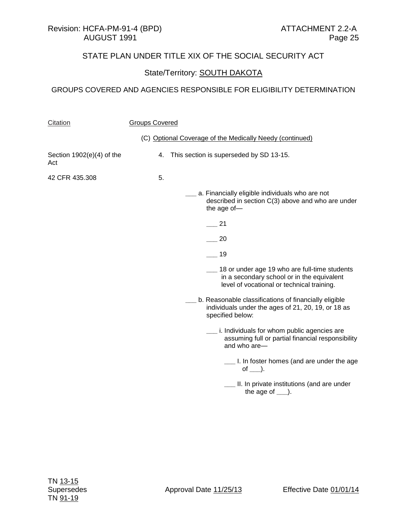## State/Territory: **SOUTH DAKOTA**

| Citation                           | <b>Groups Covered</b> |                                                                                                                                           |  |
|------------------------------------|-----------------------|-------------------------------------------------------------------------------------------------------------------------------------------|--|
|                                    |                       | (C) Optional Coverage of the Medically Needy (continued)                                                                                  |  |
| Section $1902(e)(4)$ of the<br>Act | 4.                    | This section is superseded by SD 13-15.                                                                                                   |  |
| 42 CFR 435.308                     | 5.                    |                                                                                                                                           |  |
|                                    |                       | _ a. Financially eligible individuals who are not<br>described in section C(3) above and who are under<br>the age of-                     |  |
|                                    |                       | 21                                                                                                                                        |  |
|                                    |                       | 20                                                                                                                                        |  |
|                                    |                       | 19                                                                                                                                        |  |
|                                    |                       | 18 or under age 19 who are full-time students<br>in a secondary school or in the equivalent<br>level of vocational or technical training. |  |
|                                    |                       | b. Reasonable classifications of financially eligible<br>individuals under the ages of 21, 20, 19, or 18 as<br>specified below:           |  |
|                                    |                       | __ i. Individuals for whom public agencies are<br>assuming full or partial financial responsibility<br>and who are-                       |  |
|                                    |                       | _ I. In foster homes (and are under the age<br>of $\Box$ ).                                                                               |  |
|                                    |                       | __ II. In private institutions (and are under<br>the age of $\rule{1em}{0.15mm}$ .                                                        |  |
|                                    |                       |                                                                                                                                           |  |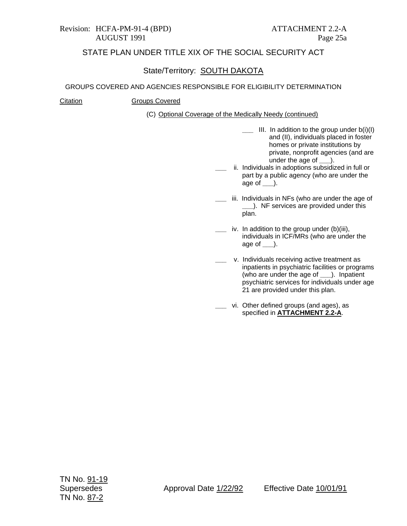## State/Territory: SOUTH DAKOTA

#### GROUPS COVERED AND AGENCIES RESPONSIBLE FOR ELIGIBILITY DETERMINATION

#### Citation Groups Covered

(C) Optional Coverage of the Medically Needy (continued)

- **\_\_\_** III. In addition to the group under b(i)(I) and (II), individuals placed in foster homes or private institutions by private, nonprofit agencies (and are under the age of **\_\_\_**).
- **\_\_\_** ii. Individuals in adoptions subsidized in full or part by a public agency (who are under the age of **\_\_\_**).
- iii. Individuals in NFs (who are under the age of **\_\_\_**). NF services are provided under this plan.
- **\_\_\_** iv. In addition to the group under (b)(iii), individuals in ICF/MRs (who are under the age of **\_\_\_**).
- **\_\_\_** v. Individuals receiving active treatment as inpatients in psychiatric facilities or programs (who are under the age of **\_\_\_**). Inpatient psychiatric services for individuals under age 21 are provided under this plan.
- **\_\_\_** vi. Other defined groups (and ages), as specified in **ATTACHMENT 2.2-A**.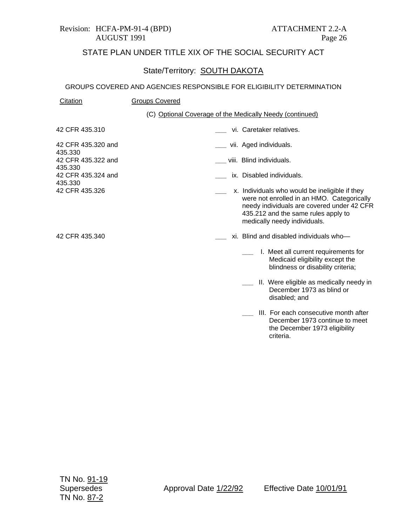#### Revision: HCFA-PM-91-4 (BPD) ATTACHMENT 2.2-A AUGUST 1991 Page 26

## STATE PLAN UNDER TITLE XIX OF THE SOCIAL SECURITY ACT

#### State/Territory: SOUTH DAKOTA

#### GROUPS COVERED AND AGENCIES RESPONSIBLE FOR ELIGIBILITY DETERMINATION

| Citation | <b>Groups Covered</b> |
|----------|-----------------------|
|          |                       |

#### (C) Optional Coverage of the Medically Needy (continued)

42 CFR 435.310

**\_\_\_** vi. Caretaker relatives.

- **\_\_\_** vii. Aged individuals.
- **\_\_\_** viii. Blind individuals.

435.330 42 CFR 435.322 and 435.330 42 CFR 435.324 and 435.330 42 CFR 435.326

42 CFR 435.320 and

42 CFR 435.340

- **\_\_\_** ix. Disabled individuals.
	- **\_\_\_** x. Individuals who would be ineligible if they were not enrolled in an HMO. Categorically needy individuals are covered under 42 CFR 435.212 and the same rules apply to medically needy individuals.
	- **\_\_\_** xi. Blind and disabled individuals who—
		- **\_\_\_** I. Meet all current requirements for Medicaid eligibility except the blindness or disability criteria;
		- **\_\_\_** II. Were eligible as medically needy in December 1973 as blind or disabled; and
		- **\_\_\_** III. For each consecutive month after December 1973 continue to meet the December 1973 eligibility criteria.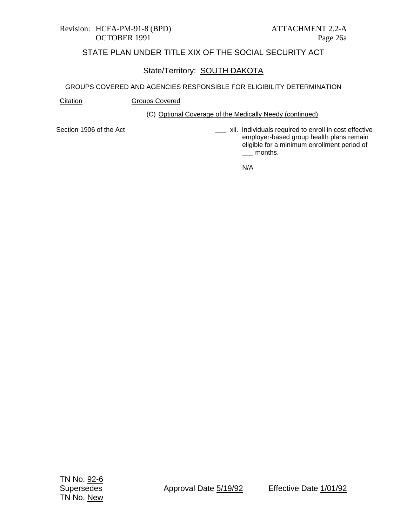#### Revision: HCFA-PM-91-8 (BPD) ATTACHMENT 2.2-A OCTOBER 1991 Page 26a

## STATE PLAN UNDER TITLE XIX OF THE SOCIAL SECURITY ACT

## State/Territory: SOUTH DAKOTA

#### GROUPS COVERED AND AGENCIES RESPONSIBLE FOR ELIGIBILITY DETERMINATION

Citation **Groups Covered** 

#### (C) Optional Coverage of the Medically Needy (continued)

Section 1906 of the Act

**\_\_\_** xii. Individuals required to enroll in cost effective employer-based group health plans remain eligible for a minimum enrollment period of **\_\_\_** months.

N/A